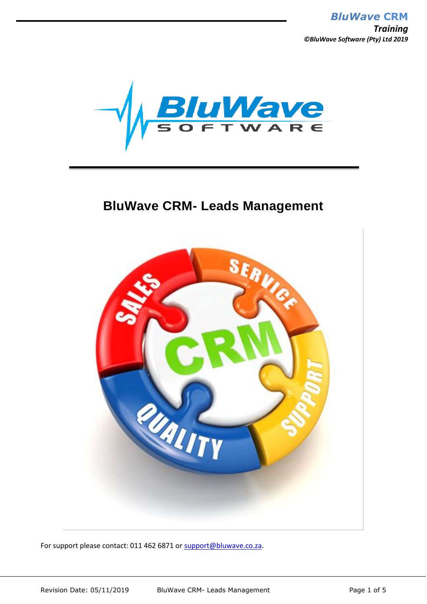

# **BluWave CRM- Leads Management**



For support please contact: 011 462 6871 or [support@bluwave.co.za.](mailto:support@bluwave.co.za)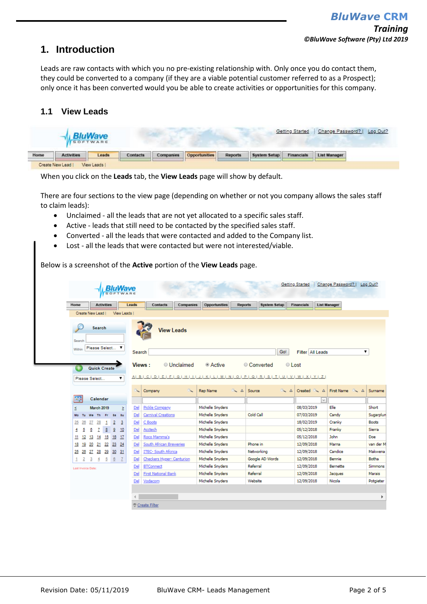## **1. Introduction**

Leads are raw contacts with which you no pre-existing relationship with. Only once you do contact them, they could be converted to a company (if they are a viable potential customer referred to as a Prospect); only once it has been converted would you be able to create activities or opportunities for this company.

### **1.1 View Leads**

|      |                   | <b>BluWave</b><br>SOFTWARE |                 |           |                      |         |                     | Getting Started   | Change Password?    | Log Out? |
|------|-------------------|----------------------------|-----------------|-----------|----------------------|---------|---------------------|-------------------|---------------------|----------|
| Home | <b>Activities</b> | Leads                      | <b>Contacts</b> | Companies | <b>Opportunities</b> | Reports | <b>System Setup</b> | <b>Financials</b> | <b>List Manager</b> |          |
|      | Create New Lead   | View Leads I               |                 |           |                      |         |                     |                   |                     |          |

When you click on the **Leads** tab, the **View Leads** page will show by default.

There are four sections to the view page (depending on whether or not you company allows the sales staff to claim leads):

- Unclaimed all the leads that are not yet allocated to a specific sales staff.
- Active leads that still need to be contacted by the specified sales staff.
- Converted all the leads that were contacted and added to the Company list.
- Lost all the leads that were contacted but were not interested/viable.

Below is a screenshot of the **Active** portion of the **View Leads** page.

|                    |       | <b>Activities</b>   |     |                | Leads                   |        | <b>Contacts</b>                                      | Companies         | Opportunities    | Reports            | <b>System Setup</b> |             | <b>Financials</b> |          | <b>List Manager</b> |   |                |
|--------------------|-------|---------------------|-----|----------------|-------------------------|--------|------------------------------------------------------|-------------------|------------------|--------------------|---------------------|-------------|-------------------|----------|---------------------|---|----------------|
|                    |       | Create New Lead I   |     |                | View Leads              |        |                                                      |                   |                  |                    |                     |             |                   |          |                     |   |                |
| Search             |       | <b>Search</b>       |     |                |                         |        |                                                      | <b>View Leads</b> |                  |                    |                     |             |                   |          |                     |   |                |
| Within             |       | Please Select       |     | ▼              |                         | Search |                                                      |                   |                  |                    |                     | Go!         | Filter All Leads  |          |                     |   | 7              |
|                    |       |                     |     |                |                         |        |                                                      |                   |                  |                    |                     |             |                   |          |                     |   |                |
| $^{+}$             |       | <b>Quick Create</b> |     |                |                         |        | Views:                                               | <b>Unclaimed</b>  | ● Active         |                    | Converted           | © Lost      |                   |          |                     |   |                |
| Please Select      |       |                     |     |                |                         |        | AIBICIDIEIFIGIHIIIJIKILIMINIOIPIQIRISITIUIVIWIXIYIZI |                   |                  |                    |                     |             |                   |          |                     |   |                |
|                    |       |                     |     |                |                         |        |                                                      |                   |                  |                    |                     |             |                   |          |                     |   |                |
|                    |       |                     |     |                |                         |        | Company                                              | $\alpha$          | Rep Name         | $\sim$<br>$\Delta$ | Source              | $\sim$<br>Δ | Created           | $\Delta$ | First Name          | Δ | Surname        |
| нF                 |       | Calendar            |     |                |                         |        |                                                      |                   |                  |                    |                     |             |                   | $\vee$   |                     |   |                |
| ś                  |       | <b>March 2019</b>   |     |                | ×                       | Del    | Pickle Company                                       |                   | Michelle Snyders |                    |                     |             | 08/03/2019        |          | Elle                |   | Short          |
| Mo<br>Tu-          | We Th |                     | Fr. | $8a - 8u$      |                         | Del    | Carnival Creations                                   |                   | Michelle Snyders |                    | Cold Call           |             | 07/03/2019        |          | Candy               |   | Sugarplun      |
| 25<br>26           | 27    | 28                  | 1   | $\overline{2}$ | $\overline{\mathbf{3}}$ | Del    | C Boots                                              |                   | Michelle Snyders |                    |                     |             | 18/02/2019        |          | Cranky              |   | <b>Boots</b>   |
| 4<br>5             | 6     | 7                   | 8   | $\overline{9}$ | 10                      | Del    | Acctech                                              |                   | Michelle Snyders |                    |                     |             | 05/12/2018        |          | Franky              |   | Sierra         |
| 12<br>11           | 13    | 14                  | 15  | 16<br>- 17     |                         | Del    | Roco Mamma's                                         |                   | Michelle Snyders |                    |                     |             | 05/12/2018        |          | John                |   | Doe            |
| 18<br>19           | 20    | 21                  | 22  | 23 24          |                         | Del    | South African Breweries                              |                   | Michelle Snyders |                    | Phone in            |             | 12/09/2018        |          | Marna               |   | van der M      |
| 25<br>$^{26}$      | 27    | 28                  | 29  | $30 - 31$      |                         | Del    | ITEC- South Afcrica                                  |                   | Michelle Snyders |                    | Networking          |             | 12/09/2018        |          | Candice             |   | Makwena        |
| 2<br>$\mathbf{1}$  | 3     | 4                   | 5   | $\overline{6}$ | -7                      | Del    | Checkers Hyper- Centurion                            |                   | Michelle Snyders |                    | Google AD Words     |             | 12/09/2018        |          | Bennie              |   | <b>Botha</b>   |
| Last Invoice Date: |       |                     |     |                |                         | Del    | <b>BTConnect</b>                                     |                   | Michelle Snyders |                    | Referral            |             | 12/09/2018        |          | Bernette            |   | <b>Simmons</b> |
|                    |       |                     |     |                |                         | Del    | <b>First National Bank</b>                           |                   | Michelle Snyders |                    | Referral            |             | 12/09/2018        |          | Jacques             |   | Marais         |
|                    |       |                     |     |                |                         | Del    | Vodacom                                              |                   | Michelle Snyders |                    | Website             |             | 12/09/2018        |          | Nicola              |   | Potgieter      |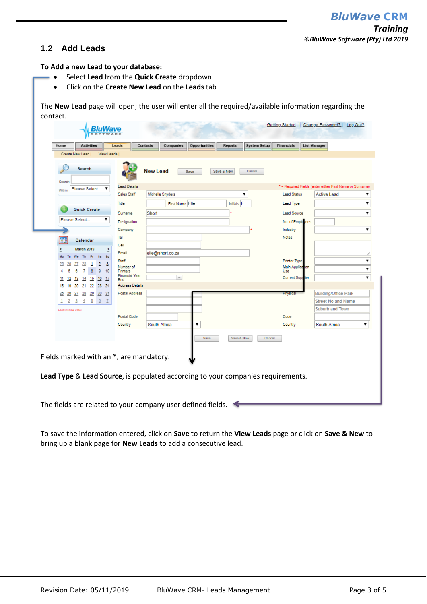#### **1.2 Add Leads**

**To Add a new Lead to your database:**

- Select **Lead** from the **Quick Create** dropdown
- Click on the **Create New Lead** on the **Leads** tab

The **New Lead** page will open; the user will enter all the required/available information regarding the contact.

| Home                | <b>Activities</b><br>Create New Lead              | View Leads                       | Leads                                   | Contacts         | Companies       | Opportunities | <b>Reports</b>        | <b>System Setup</b> | <b>Financials</b>       | <b>List Manager</b>                                      |
|---------------------|---------------------------------------------------|----------------------------------|-----------------------------------------|------------------|-----------------|---------------|-----------------------|---------------------|-------------------------|----------------------------------------------------------|
| Search              | Search                                            |                                  |                                         | <b>New Lead</b>  | Save            |               | Save & New            | Cancel              |                         |                                                          |
| Within              | Please Select                                     |                                  | <b>Lead Details</b>                     |                  |                 |               |                       |                     |                         | * = Required Fields (enter either First Name or Surname) |
|                     |                                                   |                                  | Sales Staff                             | Michelle Snyders |                 |               |                       | ▼                   | <b>Lead Status</b>      | <b>Active Lead</b>                                       |
|                     |                                                   |                                  | Title                                   |                  | First Name Elle |               | Initials <sup>E</sup> |                     | Lead Type               |                                                          |
|                     | Quick Create                                      |                                  | Surname                                 | Short            |                 |               |                       |                     | <b>Lead Source</b>      |                                                          |
|                     | Please Select                                     |                                  | Designation                             |                  |                 |               |                       |                     | No. of Employees        |                                                          |
|                     |                                                   |                                  | Company                                 |                  |                 |               |                       |                     | Industry                |                                                          |
| h,                  | Calendar                                          |                                  | Tel                                     |                  |                 |               |                       |                     | <b>Notes</b>            |                                                          |
|                     | <b>March 2019</b>                                 |                                  | Cell                                    |                  |                 |               |                       |                     |                         |                                                          |
| ś<br>Mo<br>Tu       | - Fr<br>We Th                                     | Σ<br>8a<br>8u                    | Email                                   | elle@short.co.za |                 |               |                       |                     |                         |                                                          |
| 25<br>26            | $\overline{28}$<br>1<br>27                        | $\overline{2}$<br>$\frac{3}{2}$  | <b>Staff</b>                            |                  |                 |               |                       |                     | <b>Printer Type</b>     |                                                          |
| 5<br>4              | 7<br>8<br>6                                       | $\frac{9}{2}$<br>10              | Number of<br><b>Printers</b>            |                  |                 |               |                       |                     | Main Application<br>Use |                                                          |
| 11<br>12            | 15<br>13<br>14                                    | 16<br>17                         | <b>Financial Year</b><br>End            |                  |                 |               |                       |                     | <b>Current Supplier</b> |                                                          |
| 18<br>19            | 21<br>$^{22}$<br>20                               | 23 24                            | <b>Address Details</b>                  |                  |                 |               |                       |                     |                         |                                                          |
| 26<br>25            | $\overline{28}$<br>27                             | 29 30 31                         | Postal Address                          |                  |                 |               |                       |                     | <b>Physical</b>         | <b>Building/Office Park</b>                              |
| $\overline{2}$<br>1 | $\overline{5}$<br>$\frac{4}{1}$<br>$\overline{3}$ | $\overline{6}$<br>$\overline{1}$ |                                         |                  |                 |               |                       |                     |                         | <b>Street No and Name</b>                                |
| Last Invoice Date:  |                                                   |                                  |                                         |                  |                 |               |                       |                     |                         | <b>Suburb and Town</b>                                   |
|                     |                                                   |                                  | Postal Code                             |                  |                 |               |                       |                     | Code                    |                                                          |
|                     |                                                   |                                  | Country                                 | South Africa     |                 | ▼             |                       |                     | Country                 | South Africa                                             |
|                     |                                                   |                                  | Fields marked with an *, are mandatory. |                  |                 | Save          | Save & New            | Cancel              |                         |                                                          |

The fields are related to your company user defined fields.  $\blacktriangleleft$ 

To save the information entered, click on **Save** to return the **View Leads** page or click on **Save & New** to bring up a blank page for **New Leads** to add a consecutive lead.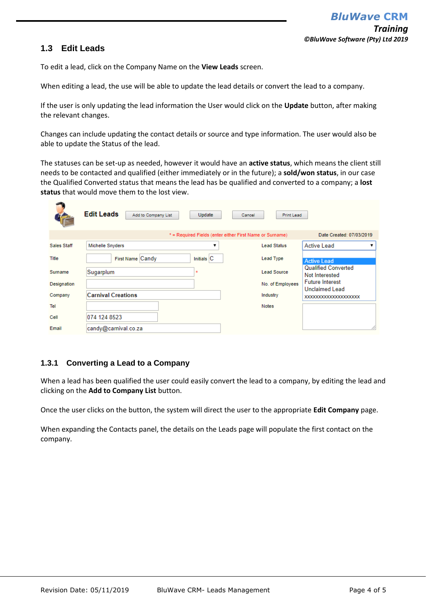### **1.3 Edit Leads**

To edit a lead, click on the Company Name on the **View Leads** screen.

When editing a lead, the use will be able to update the lead details or convert the lead to a company.

If the user is only updating the lead information the User would click on the **Update** button, after making the relevant changes.

Changes can include updating the contact details or source and type information. The user would also be able to update the Status of the lead.

The statuses can be set-up as needed, however it would have an **active status**, which means the client still needs to be contacted and qualified (either immediately or in the future); a **sold/won status**, in our case the Qualified Converted status that means the lead has be qualified and converted to a company; a **lost status** that would move them to the lost view.

|                    | <b>Edit Leads</b><br>Add to Company List | Update         | Cancel<br>Print Lead                                     |                                              |
|--------------------|------------------------------------------|----------------|----------------------------------------------------------|----------------------------------------------|
|                    |                                          |                | * = Required Fields (enter either First Name or Surname) | Date Created: 07/03/2019                     |
| <b>Sales Staff</b> | <b>Michelle Snyders</b>                  |                | <b>Lead Status</b>                                       | <b>Active Lead</b>                           |
| Title              | First Name Candy                         | Initials $ C $ | Lead Type                                                | <b>Active Lead</b>                           |
| Surname            | Sugarplum                                | $\Rightarrow$  | <b>Lead Source</b>                                       | <b>Qualified Converted</b><br>Not Interested |
| Designation        |                                          |                | No. of Employees                                         | <b>Future Interest</b>                       |
| Company            | <b>Carnival Creations</b>                |                | Industry                                                 | Unclaimed Lead<br>XXXXXXXXXXXXXXXXXXXXX      |
| Tel                |                                          |                | <b>Notes</b>                                             |                                              |
| Cell               | 074 124 8523                             |                |                                                          |                                              |
| Email              | candy@carnival.co.za                     |                |                                                          | ⋌                                            |

#### **1.3.1 Converting a Lead to a Company**

When a lead has been qualified the user could easily convert the lead to a company, by editing the lead and clicking on the **Add to Company List** button.

Once the user clicks on the button, the system will direct the user to the appropriate **Edit Company** page.

When expanding the Contacts panel, the details on the Leads page will populate the first contact on the company.